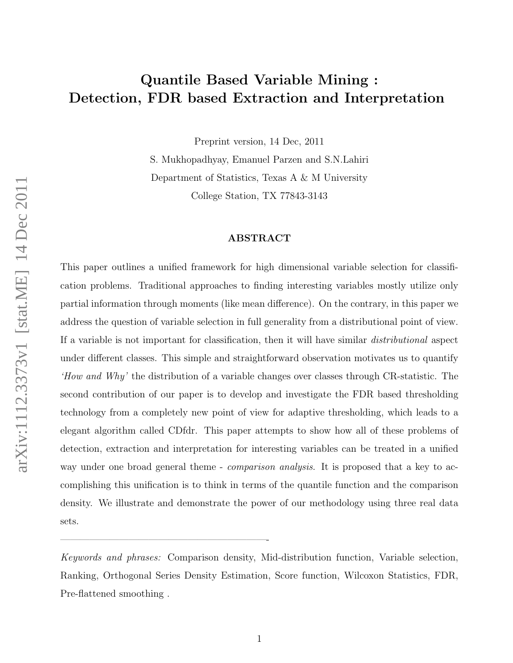# Quantile Based Variable Mining : Detection, FDR based Extraction and Interpretation

Preprint version, 14 Dec, 2011

S. Mukhopadhyay, Emanuel Parzen and S.N.Lahiri Department of Statistics, Texas A & M University College Station, TX 77843-3143

### ABSTRACT

This paper outlines a unified framework for high dimensional variable selection for classification problems. Traditional approaches to finding interesting variables mostly utilize only partial information through moments (like mean difference). On the contrary, in this paper we address the question of variable selection in full generality from a distributional point of view. If a variable is not important for classification, then it will have similar distributional aspect under different classes. This simple and straightforward observation motivates us to quantify 'How and Why' the distribution of a variable changes over classes through CR-statistic. The second contribution of our paper is to develop and investigate the FDR based thresholding technology from a completely new point of view for adaptive thresholding, which leads to a elegant algorithm called CDfdr. This paper attempts to show how all of these problems of detection, extraction and interpretation for interesting variables can be treated in a unified way under one broad general theme - *comparison analysis*. It is proposed that a key to accomplishing this unification is to think in terms of the quantile function and the comparison density. We illustrate and demonstrate the power of our methodology using three real data sets.

Keywords and phrases: Comparison density, Mid-distribution function, Variable selection, Ranking, Orthogonal Series Density Estimation, Score function, Wilcoxon Statistics, FDR, Pre-flattened smoothing .

—————————————————————-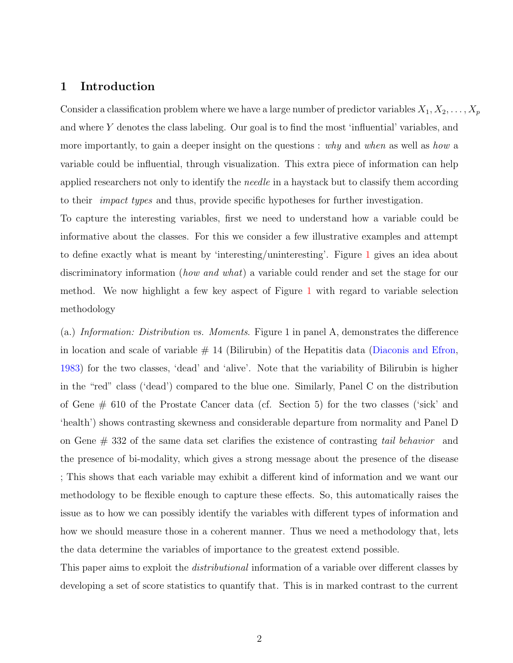## 1 Introduction

Consider a classification problem where we have a large number of predictor variables  $X_1, X_2, \ldots, X_p$ and where Y denotes the class labeling. Our goal is to find the most 'influential' variables, and more importantly, to gain a deeper insight on the questions : why and when as well as how a variable could be influential, through visualization. This extra piece of information can help applied researchers not only to identify the *needle* in a haystack but to classify them according to their *impact types* and thus, provide specific hypotheses for further investigation.

To capture the interesting variables, first we need to understand how a variable could be informative about the classes. For this we consider a few illustrative examples and attempt to define exactly what is meant by 'interesting/uninteresting'. Figure [1](#page-2-0) gives an idea about discriminatory information *(how and what)* a variable could render and set the stage for our method. We now highlight a few key aspect of Figure [1](#page-2-0) with regard to variable selection methodology

(a.) Information: Distribution vs. Moments. Figure 1 in panel A, demonstrates the difference in location and scale of variable  $\#$  14 (Bilirubin) of the Hepatitis data [\(Diaconis and Efron,](#page-25-0) [1983\)](#page-25-0) for the two classes, 'dead' and 'alive'. Note that the variability of Bilirubin is higher in the "red" class ('dead') compared to the blue one. Similarly, Panel C on the distribution of Gene # 610 of the Prostate Cancer data (cf. Section 5) for the two classes ('sick' and 'health') shows contrasting skewness and considerable departure from normality and Panel D on Gene # 332 of the same data set clarifies the existence of contrasting tail behavior and the presence of bi-modality, which gives a strong message about the presence of the disease ; This shows that each variable may exhibit a different kind of information and we want our methodology to be flexible enough to capture these effects. So, this automatically raises the issue as to how we can possibly identify the variables with different types of information and how we should measure those in a coherent manner. Thus we need a methodology that, lets the data determine the variables of importance to the greatest extend possible.

This paper aims to exploit the *distributional* information of a variable over different classes by developing a set of score statistics to quantify that. This is in marked contrast to the current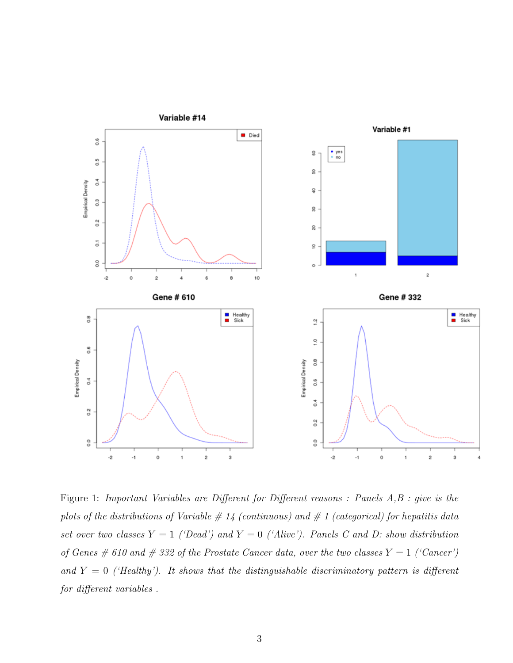

<span id="page-2-0"></span>Figure 1: Important Variables are Different for Different reasons : Panels A,B : give is the plots of the distributions of Variable  $\#$  14 (continuous) and  $\#$  1 (categorical) for hepatitis data set over two classes  $Y = 1$  ('Dead') and  $Y = 0$  ('Alive'). Panels C and D: show distribution of Genes # 610 and # 332 of the Prostate Cancer data, over the two classes  $Y = 1$  ('Cancer') and  $Y = 0$  ('Healthy'). It shows that the distinguishable discriminatory pattern is different for different variables .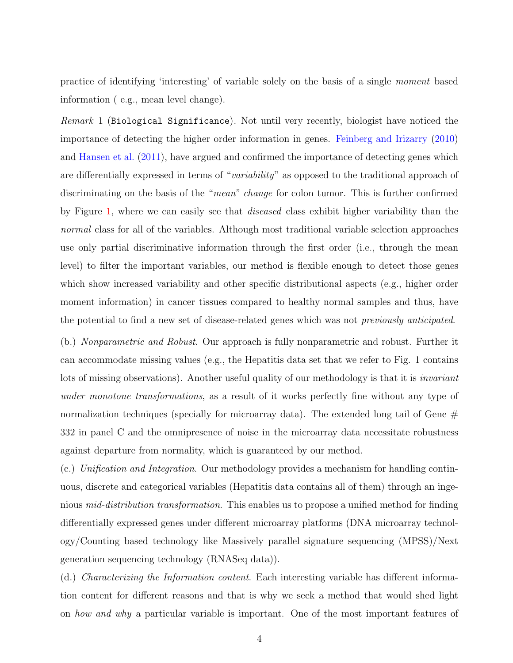practice of identifying 'interesting' of variable solely on the basis of a single moment based information ( e.g., mean level change).

Remark 1 (Biological Significance). Not until very recently, biologist have noticed the importance of detecting the higher order information in genes. [Feinberg and Irizarry](#page-25-1) [\(2010\)](#page-25-1) and [Hansen et al.](#page-25-2) [\(2011\)](#page-25-2), have argued and confirmed the importance of detecting genes which are differentially expressed in terms of "variability" as opposed to the traditional approach of discriminating on the basis of the "*mean*" *change* for colon tumor. This is further confirmed by Figure [1,](#page-2-0) where we can easily see that diseased class exhibit higher variability than the normal class for all of the variables. Although most traditional variable selection approaches use only partial discriminative information through the first order (i.e., through the mean level) to filter the important variables, our method is flexible enough to detect those genes which show increased variability and other specific distributional aspects (e.g., higher order moment information) in cancer tissues compared to healthy normal samples and thus, have the potential to find a new set of disease-related genes which was not previously anticipated.

(b.) Nonparametric and Robust. Our approach is fully nonparametric and robust. Further it can accommodate missing values (e.g., the Hepatitis data set that we refer to Fig. 1 contains lots of missing observations). Another useful quality of our methodology is that it is *invariant* under monotone transformations, as a result of it works perfectly fine without any type of normalization techniques (specially for microarray data). The extended long tail of Gene  $#$ 332 in panel C and the omnipresence of noise in the microarray data necessitate robustness against departure from normality, which is guaranteed by our method.

(c.) Unification and Integration. Our methodology provides a mechanism for handling continuous, discrete and categorical variables (Hepatitis data contains all of them) through an ingenious *mid-distribution transformation*. This enables us to propose a unified method for finding differentially expressed genes under different microarray platforms (DNA microarray technology/Counting based technology like Massively parallel signature sequencing (MPSS)/Next generation sequencing technology (RNASeq data)).

(d.) Characterizing the Information content. Each interesting variable has different information content for different reasons and that is why we seek a method that would shed light on how and why a particular variable is important. One of the most important features of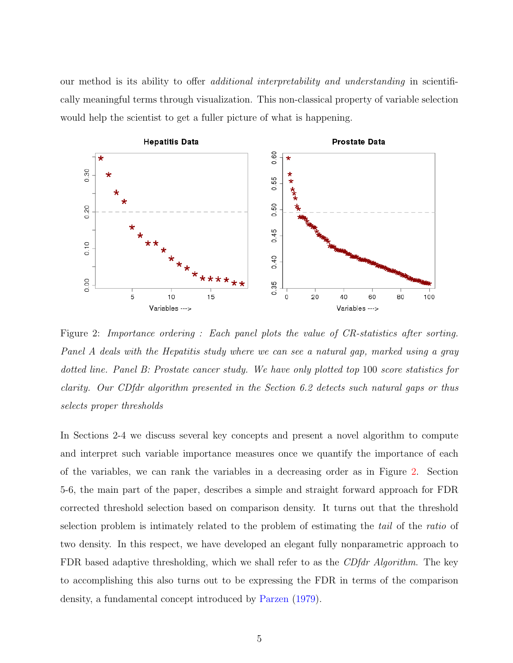our method is its ability to offer additional interpretability and understanding in scientifically meaningful terms through visualization. This non-classical property of variable selection would help the scientist to get a fuller picture of what is happening.



<span id="page-4-0"></span>Figure 2: Importance ordering : Each panel plots the value of CR-statistics after sorting. Panel A deals with the Hepatitis study where we can see a natural gap, marked using a gray dotted line. Panel B: Prostate cancer study. We have only plotted top 100 score statistics for clarity. Our CDfdr algorithm presented in the Section 6.2 detects such natural gaps or thus selects proper thresholds

In Sections 2-4 we discuss several key concepts and present a novel algorithm to compute and interpret such variable importance measures once we quantify the importance of each of the variables, we can rank the variables in a decreasing order as in Figure [2.](#page-4-0) Section 5-6, the main part of the paper, describes a simple and straight forward approach for FDR corrected threshold selection based on comparison density. It turns out that the threshold selection problem is intimately related to the problem of estimating the tail of the ratio of two density. In this respect, we have developed an elegant fully nonparametric approach to FDR based adaptive thresholding, which we shall refer to as the *CDfdr Algorithm*. The key to accomplishing this also turns out to be expressing the FDR in terms of the comparison density, a fundamental concept introduced by [Parzen](#page-26-0) [\(1979\)](#page-26-0).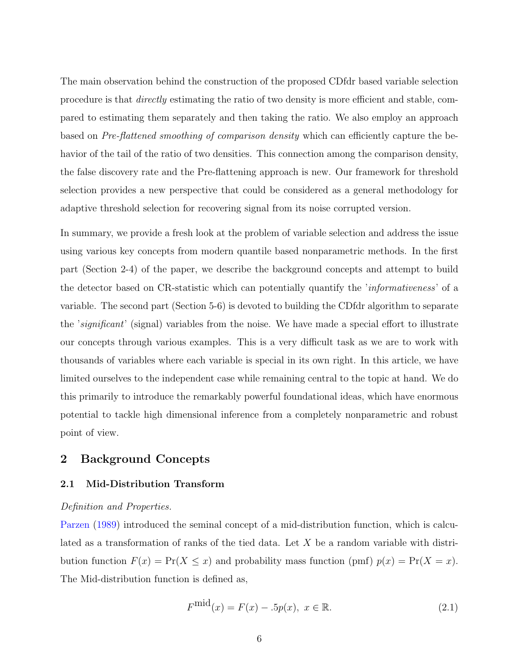The main observation behind the construction of the proposed CDfdr based variable selection procedure is that directly estimating the ratio of two density is more efficient and stable, compared to estimating them separately and then taking the ratio. We also employ an approach based on Pre-flattened smoothing of comparison density which can efficiently capture the behavior of the tail of the ratio of two densities. This connection among the comparison density, the false discovery rate and the Pre-flattening approach is new. Our framework for threshold selection provides a new perspective that could be considered as a general methodology for adaptive threshold selection for recovering signal from its noise corrupted version.

In summary, we provide a fresh look at the problem of variable selection and address the issue using various key concepts from modern quantile based nonparametric methods. In the first part (Section 2-4) of the paper, we describe the background concepts and attempt to build the detector based on CR-statistic which can potentially quantify the 'informativeness' of a variable. The second part (Section 5-6) is devoted to building the CDfdr algorithm to separate the 'significant' (signal) variables from the noise. We have made a special effort to illustrate our concepts through various examples. This is a very difficult task as we are to work with thousands of variables where each variable is special in its own right. In this article, we have limited ourselves to the independent case while remaining central to the topic at hand. We do this primarily to introduce the remarkably powerful foundational ideas, which have enormous potential to tackle high dimensional inference from a completely nonparametric and robust point of view.

# 2 Background Concepts

### 2.1 Mid-Distribution Transform

### Definition and Properties.

[Parzen](#page-26-1) [\(1989\)](#page-26-1) introduced the seminal concept of a mid-distribution function, which is calculated as a transformation of ranks of the tied data. Let X be a random variable with distribution function  $F(x) = Pr(X \leq x)$  and probability mass function (pmf)  $p(x) = Pr(X = x)$ . The Mid-distribution function is defined as,

$$
F^{\text{mid}}(x) = F(x) - .5p(x), \ x \in \mathbb{R}.
$$
 (2.1)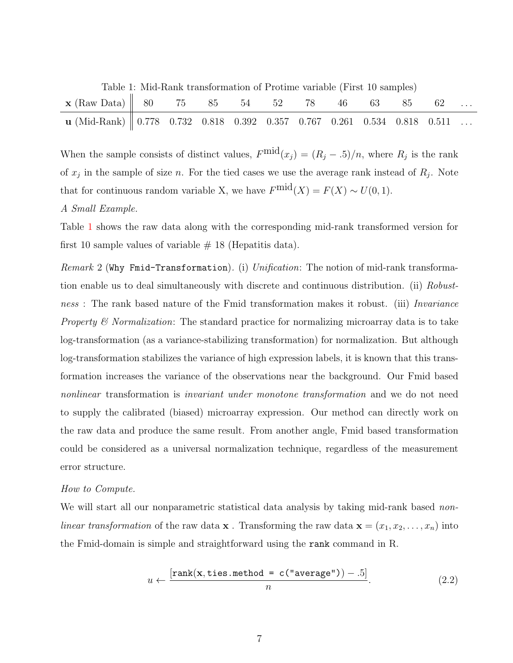<span id="page-6-0"></span>Table 1: Mid-Rank transformation of Protime variable (First 10 samples)

| $\mathbf{x}$ (Raw Data) $\begin{array}{ l l } 80 & 75 & 85 & 54 & 52 & 78 & 46 & 63 & 85 & 62 \end{array}$                                                              |  |  |  |  |  |  |
|-------------------------------------------------------------------------------------------------------------------------------------------------------------------------|--|--|--|--|--|--|
| $\textbf{u} \text{ (Mid-Rank)} \parallel 0.778 \quad 0.732 \quad 0.818 \quad 0.392 \quad 0.357 \quad 0.767 \quad 0.261 \quad 0.534 \quad 0.818 \quad 0.511 \quad \dots$ |  |  |  |  |  |  |

When the sample consists of distinct values,  $F^{\text{mid}}(x_j) = (R_j - .5)/n$ , where  $R_j$  is the rank of  $x_j$  in the sample of size n. For the tied cases we use the average rank instead of  $R_j$ . Note that for continuous random variable X, we have  $F^{\text{mid}}(X) = F(X) \sim U(0, 1)$ .

## A Small Example.

Table [1](#page-6-0) shows the raw data along with the corresponding mid-rank transformed version for first 10 sample values of variable  $# 18$  (Hepatitis data).

*Remark* 2 (Why Fmid-Transformation). (i) Unification: The notion of mid-rank transformation enable us to deal simultaneously with discrete and continuous distribution. (ii) Robustness : The rank based nature of the Fmid transformation makes it robust. (iii) Invariance Property & Normalization: The standard practice for normalizing microarray data is to take log-transformation (as a variance-stabilizing transformation) for normalization. But although log-transformation stabilizes the variance of high expression labels, it is known that this transformation increases the variance of the observations near the background. Our Fmid based nonlinear transformation is *invariant under monotone transformation* and we do not need to supply the calibrated (biased) microarray expression. Our method can directly work on the raw data and produce the same result. From another angle, Fmid based transformation could be considered as a universal normalization technique, regardless of the measurement error structure.

### How to Compute.

We will start all our nonparametric statistical data analysis by taking mid-rank based nonlinear transformation of the raw data **x**. Transforming the raw data **x** =  $(x_1, x_2, \ldots, x_n)$  into the Fmid-domain is simple and straightforward using the rank command in R.

$$
u \leftarrow \frac{[rank(\mathbf{x}, \text{ties.method} = \text{c("average")) - .5]}{n}.
$$
 (2.2)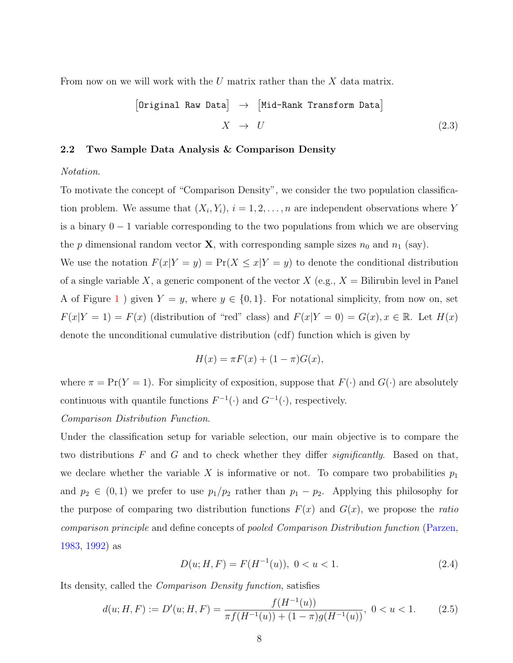From now on we will work with the U matrix rather than the  $X$  data matrix.

$$
\begin{array}{ccc}\n\text{Original Raw Data} & \rightarrow & \text{[Mid-Rank Transform Data]} \\
X & \rightarrow & U\n\end{array}
$$
\n
$$
(2.3)
$$

### 2.2 Two Sample Data Analysis & Comparison Density

#### Notation.

To motivate the concept of "Comparison Density", we consider the two population classification problem. We assume that  $(X_i, Y_i)$ ,  $i = 1, 2, ..., n$  are independent observations where Y is a binary 0 − 1 variable corresponding to the two populations from which we are observing the p dimensional random vector **X**, with corresponding sample sizes  $n_0$  and  $n_1$  (say). We use the notation  $F(x|Y = y) = Pr(X \le x|Y = y)$  to denote the conditional distribution of a single variable X, a generic component of the vector  $X$  (e.g.,  $X =$  Bilirubin level in Panel A of Figure [1](#page-2-0) ) given  $Y = y$ , where  $y \in \{0, 1\}$ . For notational simplicity, from now on, set

 $F(x|Y = 1) = F(x)$  (distribution of "red" class) and  $F(x|Y = 0) = G(x), x \in \mathbb{R}$ . Let  $H(x)$ denote the unconditional cumulative distribution (cdf) function which is given by

$$
H(x) = \pi F(x) + (1 - \pi)G(x),
$$

where  $\pi = \Pr(Y = 1)$ . For simplicity of exposition, suppose that  $F(\cdot)$  and  $G(\cdot)$  are absolutely continuous with quantile functions  $F^{-1}(\cdot)$  and  $G^{-1}(\cdot)$ , respectively.

## Comparison Distribution Function.

Under the classification setup for variable selection, our main objective is to compare the two distributions  $F$  and  $G$  and to check whether they differ *significantly*. Based on that, we declare whether the variable X is informative or not. To compare two probabilities  $p_1$ and  $p_2 \in (0,1)$  we prefer to use  $p_1/p_2$  rather than  $p_1 - p_2$ . Applying this philosophy for the purpose of comparing two distribution functions  $F(x)$  and  $G(x)$ , we propose the *ratio* comparison principle and define concepts of pooled Comparison Distribution function [\(Parzen,](#page-26-2) [1983,](#page-26-2) [1992\)](#page-26-3) as

$$
D(u; H, F) = F(H^{-1}(u)), \ 0 < u < 1. \tag{2.4}
$$

Its density, called the Comparison Density function, satisfies

$$
d(u; H, F) := D'(u; H, F) = \frac{f(H^{-1}(u))}{\pi f(H^{-1}(u)) + (1 - \pi)g(H^{-1}(u))}, \ 0 < u < 1. \tag{2.5}
$$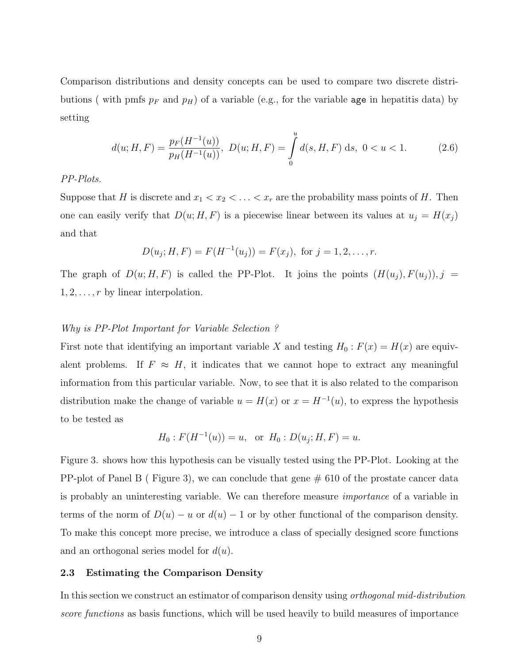Comparison distributions and density concepts can be used to compare two discrete distributions (with pmfs  $p_F$  and  $p_H$ ) of a variable (e.g., for the variable age in hepatitis data) by setting

$$
d(u; H, F) = \frac{p_F(H^{-1}(u))}{p_H(H^{-1}(u))}, \ D(u; H, F) = \int_0^u d(s, H, F) \ ds, \ 0 < u < 1. \tag{2.6}
$$

### PP-Plots.

Suppose that H is discrete and  $x_1 < x_2 < \ldots < x_r$  are the probability mass points of H. Then one can easily verify that  $D(u; H, F)$  is a piecewise linear between its values at  $u_j = H(x_j)$ and that

$$
D(u_j; H, F) = F(H^{-1}(u_j)) = F(x_j), \text{ for } j = 1, 2, \dots, r.
$$

The graph of  $D(u; H, F)$  is called the PP-Plot. It joins the points  $(H(u_j), F(u_j)), j =$  $1, 2, \ldots, r$  by linear interpolation.

## Why is PP-Plot Important for Variable Selection ?

First note that identifying an important variable X and testing  $H_0$ :  $F(x) = H(x)$  are equivalent problems. If  $F \approx H$ , it indicates that we cannot hope to extract any meaningful information from this particular variable. Now, to see that it is also related to the comparison distribution make the change of variable  $u = H(x)$  or  $x = H^{-1}(u)$ , to express the hypothesis to be tested as

$$
H_0: F(H^{-1}(u)) = u
$$
, or  $H_0: D(u_j; H, F) = u$ .

Figure 3. shows how this hypothesis can be visually tested using the PP-Plot. Looking at the PP-plot of Panel B (Figure 3), we can conclude that gene  $\#$  610 of the prostate cancer data is probably an uninteresting variable. We can therefore measure importance of a variable in terms of the norm of  $D(u) - u$  or  $d(u) - 1$  or by other functional of the comparison density. To make this concept more precise, we introduce a class of specially designed score functions and an orthogonal series model for  $d(u)$ .

### 2.3 Estimating the Comparison Density

In this section we construct an estimator of comparison density using orthogonal mid-distribution score functions as basis functions, which will be used heavily to build measures of importance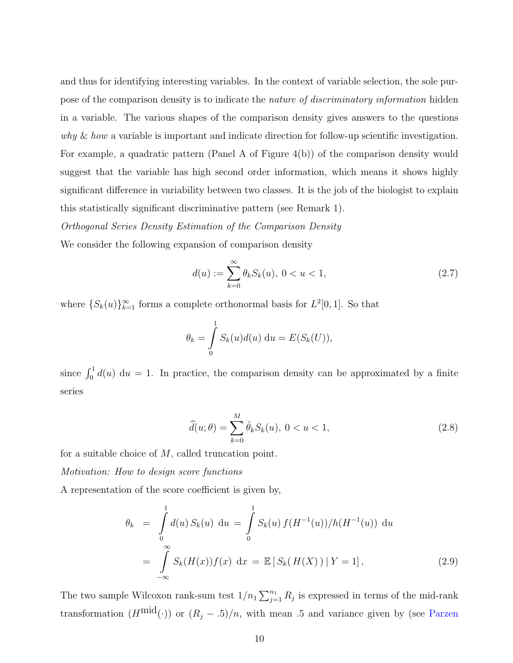and thus for identifying interesting variables. In the context of variable selection, the sole purpose of the comparison density is to indicate the *nature of discriminatory information* hidden in a variable. The various shapes of the comparison density gives answers to the questions why  $\&$  how a variable is important and indicate direction for follow-up scientific investigation. For example, a quadratic pattern (Panel A of Figure 4(b)) of the comparison density would suggest that the variable has high second order information, which means it shows highly significant difference in variability between two classes. It is the job of the biologist to explain this statistically significant discriminative pattern (see Remark 1).

Orthogonal Series Density Estimation of the Comparison Density

We consider the following expansion of comparison density

$$
d(u) := \sum_{k=0}^{\infty} \theta_k S_k(u), \ 0 < u < 1,\tag{2.7}
$$

where  $\{S_k(u)\}_{k=1}^{\infty}$  forms a complete orthonormal basis for  $L^2[0,1]$ . So that

$$
\theta_k = \int\limits_0^1 S_k(u)d(u) \, \mathrm{d}u = E(S_k(U)),
$$

since  $\int_0^1 d(u) \, \mathrm{d}u = 1$ . In practice, the comparison density can be approximated by a finite series

$$
\widehat{d}(u; \theta) = \sum_{k=0}^{M} \widehat{\theta}_k S_k(u), \ 0 < u < 1,\tag{2.8}
$$

for a suitable choice of  $M$ , called truncation point.

Motivation: How to design score functions

A representation of the score coefficient is given by,

$$
\theta_k = \int_0^1 d(u) S_k(u) \, \mathrm{d}u = \int_0^1 S_k(u) f(H^{-1}(u)) / h(H^{-1}(u)) \, \mathrm{d}u
$$
\n
$$
= \int_{-\infty}^{\infty} S_k(H(x)) f(x) \, \mathrm{d}x = \mathbb{E} \left[ S_k(H(X)) \, | \, Y = 1 \right], \tag{2.9}
$$

The two sample Wilcoxon rank-sum test  $1/n_1 \sum_{j=1}^{n_1} R_j$  is expressed in terms of the mid-rank transformation  $(H^{\text{mid}}(\cdot))$  or  $(R_j - .5)/n$ , with mean .5 and variance given by (see [Parzen](#page-26-4)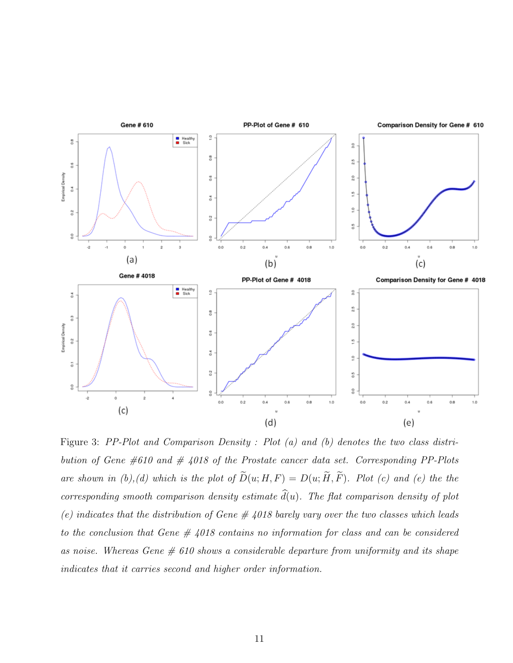

Figure 3: PP-Plot and Comparison Density : Plot (a) and (b) denotes the two class distribution of Gene  $\#610$  and  $\#$  4018 of the Prostate cancer data set. Corresponding PP-Plots are shown in (b),(d) which is the plot of  $\widetilde{D}(u; H, F) = D(u; \widetilde{H}, \widetilde{F})$ . Plot (c) and (e) the the corresponding smooth comparison density estimate  $\hat{d}(u)$ . The flat comparison density of plot (e) indicates that the distribution of Gene  $\#$  4018 barely vary over the two classes which leads to the conclusion that Gene  $\#\;4018$  contains no information for class and can be considered as noise. Whereas Gene  $\#$  610 shows a considerable departure from uniformity and its shape indicates that it carries second and higher order information.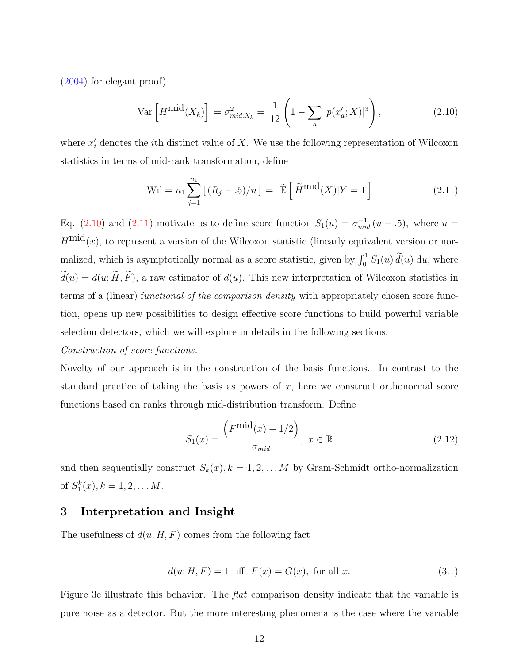[\(2004\)](#page-26-4) for elegant proof)

<span id="page-11-0"></span>
$$
\text{Var}\left[H^{\text{mid}}(X_k)\right] = \sigma_{\text{mid},X_k}^2 = \frac{1}{12}\left(1 - \sum_a |p(x_a';X)|^3\right),\tag{2.10}
$$

where  $x_i'$  denotes the *i*th distinct value of X. We use the following representation of Wilcoxon statistics in terms of mid-rank transformation, define

<span id="page-11-1"></span>
$$
Wil = n_1 \sum_{j=1}^{n_1} [(R_j - .5)/n] = \tilde{E} \left[ \tilde{H}^{\text{mid}}(X) | Y = 1 \right]
$$
 (2.11)

Eq. [\(2.10\)](#page-11-0) and [\(2.11\)](#page-11-1) motivate us to define score function  $S_1(u) = \sigma_{mid}^{-1}(u - .5)$ , where  $u =$  $H^{\text{mid}}(x)$ , to represent a version of the Wilcoxon statistic (linearly equivalent version or normalized, which is asymptotically normal as a score statistic, given by  $\int_0^1 S_1(u) \, \tilde{d}(u) \, du$ , where  $\tilde{d}(u) = d(u; \tilde{H}, \tilde{F})$ , a raw estimator of  $d(u)$ . This new interpretation of Wilcoxon statistics in terms of a (linear) functional of the comparison density with appropriately chosen score function, opens up new possibilities to design effective score functions to build powerful variable selection detectors, which we will explore in details in the following sections.

### Construction of score functions.

Novelty of our approach is in the construction of the basis functions. In contrast to the standard practice of taking the basis as powers of  $x$ , here we construct orthonormal score functions based on ranks through mid-distribution transform. Define

$$
S_1(x) = \frac{\left(F^{\text{mid}}(x) - 1/2\right)}{\sigma_{\text{mid}}}, \ x \in \mathbb{R} \tag{2.12}
$$

and then sequentially construct  $S_k(x)$ ,  $k = 1, 2, \ldots M$  by Gram-Schmidt ortho-normalization of  $S_1^k(x)$ ,  $k = 1, 2, \ldots M$ .

## 3 Interpretation and Insight

The usefulness of  $d(u; H, F)$  comes from the following fact

$$
d(u; H, F) = 1 \text{ iff } F(x) = G(x), \text{ for all } x. \tag{3.1}
$$

Figure 3e illustrate this behavior. The *flat* comparison density indicate that the variable is pure noise as a detector. But the more interesting phenomena is the case where the variable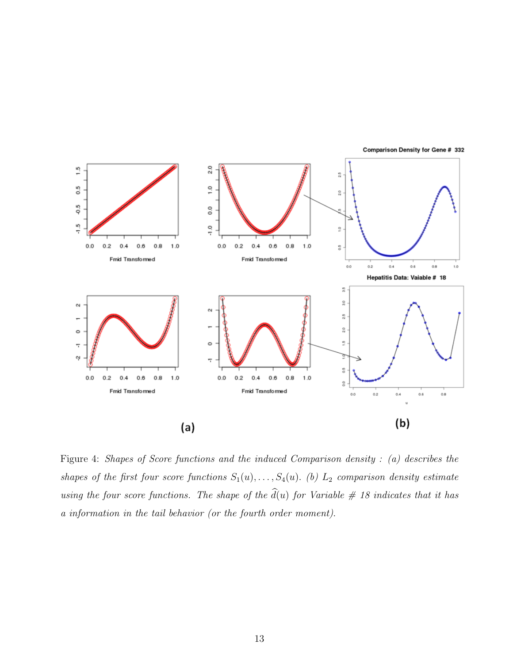

Figure 4: Shapes of Score functions and the induced Comparison density : (a) describes the shapes of the first four score functions  $S_1(u), \ldots, S_4(u)$ . (b)  $L_2$  comparison density estimate using the four score functions. The shape of the  $\hat{d}(u)$  for Variable # 18 indicates that it has a information in the tail behavior (or the fourth order moment).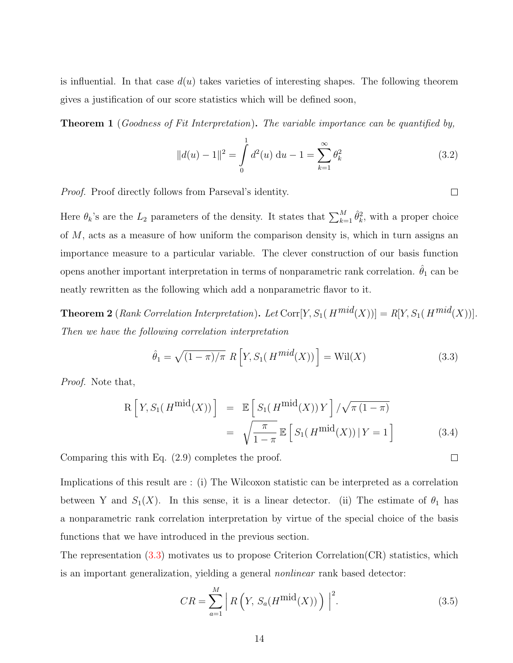is influential. In that case  $d(u)$  takes varieties of interesting shapes. The following theorem gives a justification of our score statistics which will be defined soon,

**Theorem 1** (Goodness of Fit Interpretation). The variable importance can be quantified by,

$$
||d(u) - 1||2 = \int_{0}^{1} d^{2}(u) du - 1 = \sum_{k=1}^{\infty} \theta_{k}^{2}
$$
 (3.2)

 $\Box$ 

<span id="page-13-1"></span> $\Box$ 

Proof. Proof directly follows from Parseval's identity.

Here  $\theta_k$ 's are the  $L_2$  parameters of the density. It states that  $\sum_{k=1}^M \hat{\theta}_k^2$ , with a proper choice of M, acts as a measure of how uniform the comparison density is, which in turn assigns an importance measure to a particular variable. The clever construction of our basis function opens another important interpretation in terms of nonparametric rank correlation.  $\hat{\theta}_1$  can be neatly rewritten as the following which add a nonparametric flavor to it.

**Theorem 2** (Rank Correlation Interpretation). Let  $Corr[Y, S_1(H^{mid}(X))] = R[Y, S_1(H^{mid}(X))]$ . Then we have the following correlation interpretation

<span id="page-13-0"></span>
$$
\hat{\theta}_1 = \sqrt{(1-\pi)/\pi} \ R \left[ Y, S_1(H^{mid}(X)) \right] = \text{Wil}(X) \tag{3.3}
$$

Proof. Note that,

$$
R\left[Y, S_1(H^{\text{mid}}(X))\right] = \mathbb{E}\left[S_1(H^{\text{mid}}(X))Y\right] / \sqrt{\pi (1-\pi)}
$$

$$
= \sqrt{\frac{\pi}{1-\pi}} \mathbb{E}\left[S_1(H^{\text{mid}}(X)) | Y = 1\right]
$$
(3.4)

Comparing this with Eq. (2.9) completes the proof.

Implications of this result are : (i) The Wilcoxon statistic can be interpreted as a correlation between Y and  $S_1(X)$ . In this sense, it is a linear detector. (ii) The estimate of  $\theta_1$  has a nonparametric rank correlation interpretation by virtue of the special choice of the basis functions that we have introduced in the previous section.

The representation  $(3.3)$  motivates us to propose Criterion Correlation $(CR)$  statistics, which is an important generalization, yielding a general nonlinear rank based detector:

$$
CR = \sum_{a=1}^{M} \left| R\left(Y, S_a(H^{\text{mid}}(X))\right) \right|^2.
$$
 (3.5)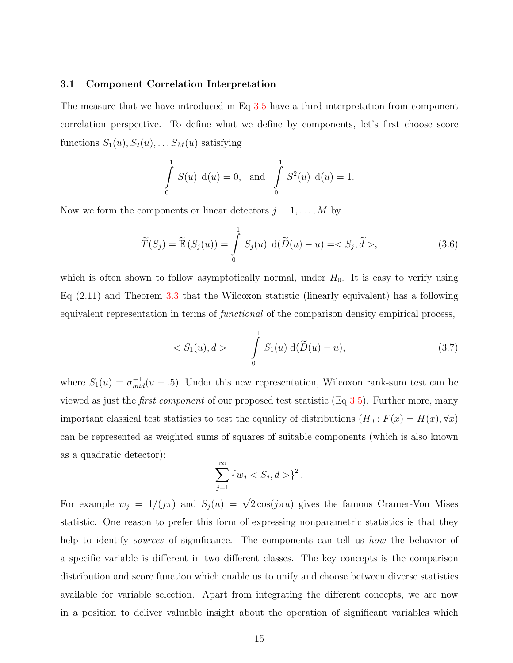### 3.1 Component Correlation Interpretation

The measure that we have introduced in Eq [3.5](#page-13-1) have a third interpretation from component correlation perspective. To define what we define by components, let's first choose score functions  $S_1(u), S_2(u), \ldots S_M(u)$  satisfying

$$
\int_{0}^{1} S(u) d(u) = 0, \text{ and } \int_{0}^{1} S^{2}(u) d(u) = 1.
$$

Now we form the components or linear detectors  $j = 1, \ldots, M$  by

$$
\widetilde{T}(S_j) = \widetilde{\mathbb{E}}\left(S_j(u)\right) = \int_0^1 S_j(u) \, \mathrm{d}(\widetilde{D}(u) - u) = \langle S_j, \widetilde{d} \rangle, \tag{3.6}
$$

which is often shown to follow asymptotically normal, under  $H_0$ . It is easy to verify using Eq (2.11) and Theorem [3.3](#page-13-0) that the Wilcoxon statistic (linearly equivalent) has a following equivalent representation in terms of functional of the comparison density empirical process,

$$
\langle S_1(u), d \rangle = \int_0^1 S_1(u) \, d(\tilde{D}(u) - u), \qquad (3.7)
$$

where  $S_1(u) = \sigma_{mid}^{-1}(u - .5)$ . Under this new representation, Wilcoxon rank-sum test can be viewed as just the first component of our proposed test statistic (Eq [3.5\)](#page-13-1). Further more, many important classical test statistics to test the equality of distributions  $(H_0 : F(x) = H(x), \forall x)$ can be represented as weighted sums of squares of suitable components (which is also known as a quadratic detector):

$$
\sum_{j=1}^{\infty} \{w_j < S_j, d > \}^2.
$$

For example  $w_j = 1/(j\pi)$  and  $S_j(u) = \sqrt{2}\cos(j\pi u)$  gives the famous Cramer-Von Mises statistic. One reason to prefer this form of expressing nonparametric statistics is that they help to identify *sources* of significance. The components can tell us *how* the behavior of a specific variable is different in two different classes. The key concepts is the comparison distribution and score function which enable us to unify and choose between diverse statistics available for variable selection. Apart from integrating the different concepts, we are now in a position to deliver valuable insight about the operation of significant variables which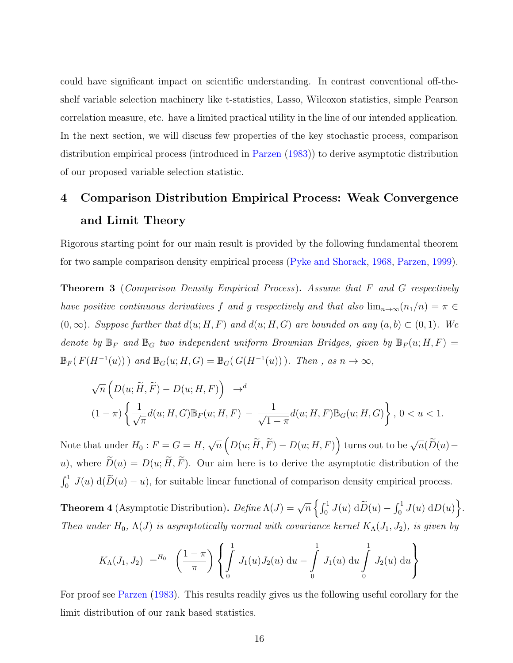could have significant impact on scientific understanding. In contrast conventional off-theshelf variable selection machinery like t-statistics, Lasso, Wilcoxon statistics, simple Pearson correlation measure, etc. have a limited practical utility in the line of our intended application. In the next section, we will discuss few properties of the key stochastic process, comparison distribution empirical process (introduced in [Parzen](#page-26-2) [\(1983\)](#page-26-2)) to derive asymptotic distribution of our proposed variable selection statistic.

# <span id="page-15-0"></span>4 Comparison Distribution Empirical Process: Weak Convergence and Limit Theory

Rigorous starting point for our main result is provided by the following fundamental theorem for two sample comparison density empirical process [\(Pyke and Shorack,](#page-26-5) [1968,](#page-26-5) [Parzen,](#page-26-6) [1999\)](#page-26-6).

Theorem 3 (Comparison Density Empirical Process). Assume that F and G respectively have positive continuous derivatives f and g respectively and that also  $\lim_{n\to\infty}$  $(n_1/n) = \pi \in$  $(0, \infty)$ . Suppose further that  $d(u; H, F)$  and  $d(u; H, G)$  are bounded on any  $(a, b) \subset (0, 1)$ . We denote by  $\mathbb{B}_F$  and  $\mathbb{B}_G$  two independent uniform Brownian Bridges, given by  $\mathbb{B}_F(u; H, F) =$  $\mathbb{B}_F(F(H^{-1}(u)))$  and  $\mathbb{B}_G(u; H, G) = \mathbb{B}_G(G(H^{-1}(u)))$ . Then, as  $n \to \infty$ ,

$$
\sqrt{n}\left(D(u;\widetilde{H},\widetilde{F}) - D(u;H,F)\right) \rightarrow^{d}
$$
  

$$
(1-\pi)\left\{\frac{1}{\sqrt{\pi}}d(u;H,G)\mathbb{B}_{F}(u;H,F) - \frac{1}{\sqrt{1-\pi}}d(u;H,F)\mathbb{B}_{G}(u;H,G)\right\}, 0 < u < 1.
$$

Note that under  $H_0: F = G = H$ , √  $\overline{n}\left(D(u;\widetilde{H},\widetilde{F})-D(u;H,F)\right)$  turns out to be  $\sqrt{n}(\widetilde{D}(u)$ u), where  $\widetilde{D}(u) = D(u; \widetilde{H}, \widetilde{F})$ . Our aim here is to derive the asymptotic distribution of the  $\int_0^1 J(u) d(\widetilde{D}(u) - u)$ , for suitable linear functional of comparison density empirical process.

**Theorem 4** (Asymptotic Distribution).  $Define \Lambda(J) = \sqrt{n} \left\{ \int_0^1 J(u) d\tilde{D}(u) - \int_0^1 J(u) dD(u) \right\}.$ Then under  $H_0$ ,  $\Lambda(J)$  is asymptotically normal with covariance kernel  $K_{\Lambda}(J_1, J_2)$ , is given by

$$
K_{\Lambda}(J_1, J_2) =^{H_0} \left(\frac{1-\pi}{\pi}\right) \left\{ \int_0^1 J_1(u) J_2(u) \, \mathrm{d}u - \int_0^1 J_1(u) \, \mathrm{d}u \int_0^1 J_2(u) \, \mathrm{d}u \right\}
$$

For proof see [Parzen](#page-26-2) [\(1983\)](#page-26-2). This results readily gives us the following useful corollary for the limit distribution of our rank based statistics.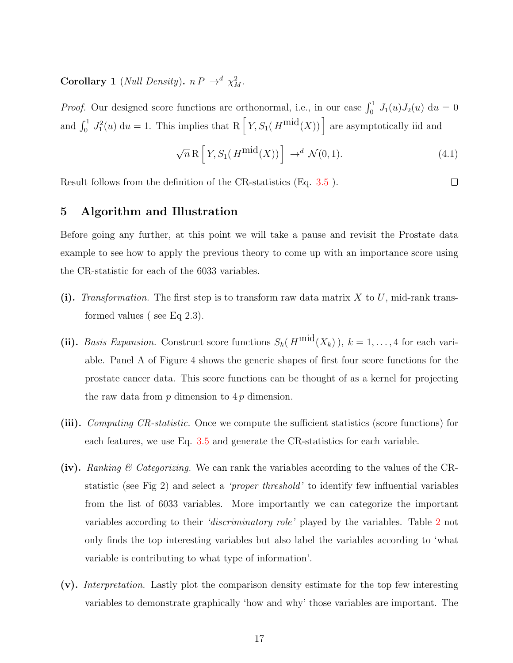**Corollary 1** (Null Density).  $n P \rightarrow^d \chi^2_M$ .

*Proof.* Our designed score functions are orthonormal, i.e., in our case  $\int_0^1 J_1(u)J_2(u) du = 0$ and  $\int_0^1 J_1^2(u) du = 1$ . This implies that R  $\left[ Y, S_1(H^{\text{mid}}(X)) \right]$  are asymptotically iid and

$$
\sqrt{n} \mathcal{R} \left[ Y, S_1(H^{\text{mid}}(X)) \right] \to^d \mathcal{N}(0, 1). \tag{4.1}
$$

 $\Box$ 

Result follows from the definition of the CR-statistics (Eq. [3.5](#page-13-1) ).

## 5 Algorithm and Illustration

Before going any further, at this point we will take a pause and revisit the Prostate data example to see how to apply the previous theory to come up with an importance score using the CR-statistic for each of the 6033 variables.

- (i). Transformation. The first step is to transform raw data matrix X to U, mid-rank transformed values ( see Eq 2.3).
- (ii). Basis Expansion. Construct score functions  $S_k(H^{\text{mid}}(X_k))$ ,  $k = 1, ..., 4$  for each variable. Panel A of Figure 4 shows the generic shapes of first four score functions for the prostate cancer data. This score functions can be thought of as a kernel for projecting the raw data from  $p$  dimension to  $4p$  dimension.
- (iii). Computing CR-statistic. Once we compute the sufficient statistics (score functions) for each features, we use Eq. [3.5](#page-13-1) and generate the CR-statistics for each variable.
- (iv). Ranking  $\mathcal C$  Categorizing. We can rank the variables according to the values of the CRstatistic (see Fig 2) and select a 'proper threshold' to identify few influential variables from the list of 6033 variables. More importantly we can categorize the important variables according to their 'discriminatory role' played by the variables. Table [2](#page-17-0) not only finds the top interesting variables but also label the variables according to 'what variable is contributing to what type of information'.
- (v). Interpretation. Lastly plot the comparison density estimate for the top few interesting variables to demonstrate graphically 'how and why' those variables are important. The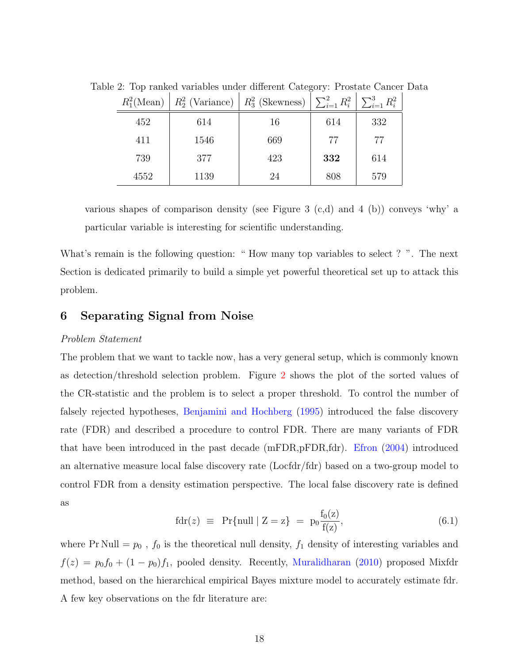<span id="page-17-0"></span>

| $R_1^2(\text{Mean})$ |      | $R_2^2$ (Variance) $\mid R_3^2$ (Skewness) $\mid \sum_{i=1}^2 R_i^2 \mid$ |     | $\sum_{i=1}^3 R_i^2$ |
|----------------------|------|---------------------------------------------------------------------------|-----|----------------------|
| 452                  | 614  | 16                                                                        | 614 | 332                  |
| 411                  | 1546 | 669                                                                       | 77  | 77                   |
| 739                  | 377  | 423                                                                       | 332 | 614                  |
| 4552                 | 1139 | 24                                                                        | 808 | 579                  |

Table 2: Top ranked variables under different Category: Prostate Cancer Data

various shapes of comparison density (see Figure 3  $(c,d)$  and 4  $(b)$ ) conveys 'why' a particular variable is interesting for scientific understanding.

What's remain is the following question: "How many top variables to select?". The next Section is dedicated primarily to build a simple yet powerful theoretical set up to attack this problem.

## 6 Separating Signal from Noise

### Problem Statement

The problem that we want to tackle now, has a very general setup, which is commonly known as detection/threshold selection problem. Figure [2](#page-4-0) shows the plot of the sorted values of the CR-statistic and the problem is to select a proper threshold. To control the number of falsely rejected hypotheses, [Benjamini and Hochberg](#page-25-3) [\(1995\)](#page-25-3) introduced the false discovery rate (FDR) and described a procedure to control FDR. There are many variants of FDR that have been introduced in the past decade (mFDR,pFDR,fdr). [Efron](#page-25-4) [\(2004\)](#page-25-4) introduced an alternative measure local false discovery rate (Locfdr/fdr) based on a two-group model to control FDR from a density estimation perspective. The local false discovery rate is defined as

$$
fdr(z) \equiv Pr\{null \mid Z = z\} = p_0 \frac{f_0(z)}{f(z)},
$$
\n(6.1)

<span id="page-17-1"></span>where Pr Null =  $p_0$ ,  $f_0$  is the theoretical null density,  $f_1$  density of interesting variables and  $f(z) = p_0 f_0 + (1 - p_0) f_1$ , pooled density. Recently, [Muralidharan](#page-25-5) [\(2010\)](#page-25-5) proposed Mixfdr method, based on the hierarchical empirical Bayes mixture model to accurately estimate fdr. A few key observations on the fdr literature are: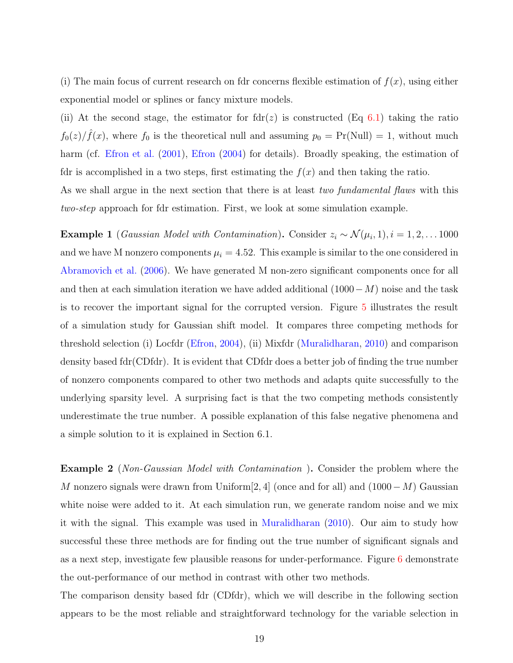(i) The main focus of current research on fdr concerns flexible estimation of  $f(x)$ , using either exponential model or splines or fancy mixture models.

(ii) At the second stage, the estimator for  $fdr(z)$  is constructed (Eq [6.1\)](#page-17-1) taking the ratio  $f_0(z)/\hat{f}(x)$ , where  $f_0$  is the theoretical null and assuming  $p_0 = Pr(Null) = 1$ , without much harm (cf. [Efron et al.](#page-25-6) [\(2001\)](#page-25-6), [Efron](#page-25-4) [\(2004\)](#page-25-4) for details). Broadly speaking, the estimation of fdr is accomplished in a two steps, first estimating the  $f(x)$  and then taking the ratio.

As we shall argue in the next section that there is at least *two fundamental flaws* with this two-step approach for fdr estimation. First, we look at some simulation example.

**Example 1** (*Gaussian Model with Contamination*). Consider  $z_i \sim \mathcal{N}(\mu_i, 1), i = 1, 2, \dots 1000$ and we have M nonzero components  $\mu_i = 4.52$ . This example is similar to the one considered in [Abramovich et al.](#page-25-7) [\(2006\)](#page-25-7). We have generated M non-zero significant components once for all and then at each simulation iteration we have added additional  $(1000-M)$  noise and the task is to recover the important signal for the corrupted version. Figure [5](#page-19-0) illustrates the result of a simulation study for Gaussian shift model. It compares three competing methods for threshold selection (i) Locfdr [\(Efron,](#page-25-4) [2004\)](#page-25-4), (ii) Mixfdr [\(Muralidharan,](#page-25-5) [2010\)](#page-25-5) and comparison density based fdr(CDfdr). It is evident that CDfdr does a better job of finding the true number of nonzero components compared to other two methods and adapts quite successfully to the underlying sparsity level. A surprising fact is that the two competing methods consistently underestimate the true number. A possible explanation of this false negative phenomena and a simple solution to it is explained in Section 6.1.

Example 2 (Non-Gaussian Model with Contamination ). Consider the problem where the M nonzero signals were drawn from Uniform[2, 4] (once and for all) and  $(1000-M)$  Gaussian white noise were added to it. At each simulation run, we generate random noise and we mix it with the signal. This example was used in [Muralidharan](#page-25-5) [\(2010\)](#page-25-5). Our aim to study how successful these three methods are for finding out the true number of significant signals and as a next step, investigate few plausible reasons for under-performance. Figure [6](#page-20-0) demonstrate the out-performance of our method in contrast with other two methods.

The comparison density based fdr (CDfdr), which we will describe in the following section appears to be the most reliable and straightforward technology for the variable selection in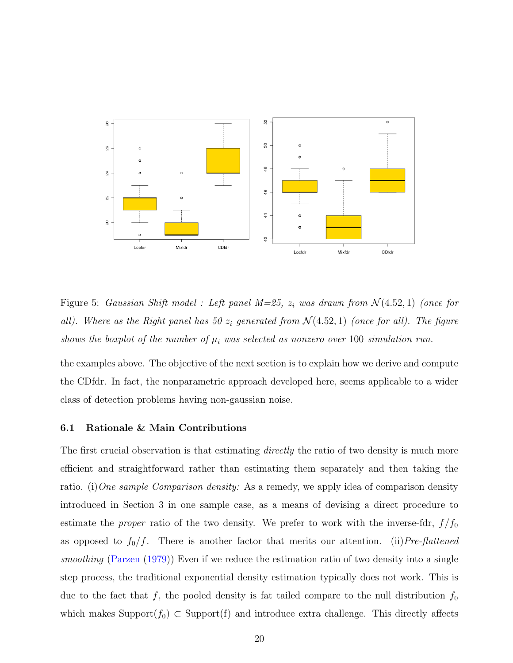

<span id="page-19-0"></span>Figure 5: Gaussian Shift model : Left panel  $M=25$ ,  $z_i$  was drawn from  $\mathcal{N}(4.52,1)$  (once for all). Where as the Right panel has 50  $z_i$  generated from  $\mathcal{N}(4.52, 1)$  (once for all). The figure shows the boxplot of the number of  $\mu_i$  was selected as nonzero over 100 simulation run.

the examples above. The objective of the next section is to explain how we derive and compute the CDfdr. In fact, the nonparametric approach developed here, seems applicable to a wider class of detection problems having non-gaussian noise.

### 6.1 Rationale & Main Contributions

The first crucial observation is that estimating *directly* the ratio of two density is much more efficient and straightforward rather than estimating them separately and then taking the ratio. (i) One sample Comparison density: As a remedy, we apply idea of comparison density introduced in Section 3 in one sample case, as a means of devising a direct procedure to estimate the *proper* ratio of the two density. We prefer to work with the inverse-fdr,  $f/f_0$ as opposed to  $f_0/f$ . There is another factor that merits our attention. (ii)Pre-flattened smoothing [\(Parzen](#page-26-0) [\(1979\)](#page-26-0)) Even if we reduce the estimation ratio of two density into a single step process, the traditional exponential density estimation typically does not work. This is due to the fact that f, the pooled density is fat tailed compare to the null distribution  $f_0$ which makes Support( $f_0$ ) ⊂ Support(f) and introduce extra challenge. This directly affects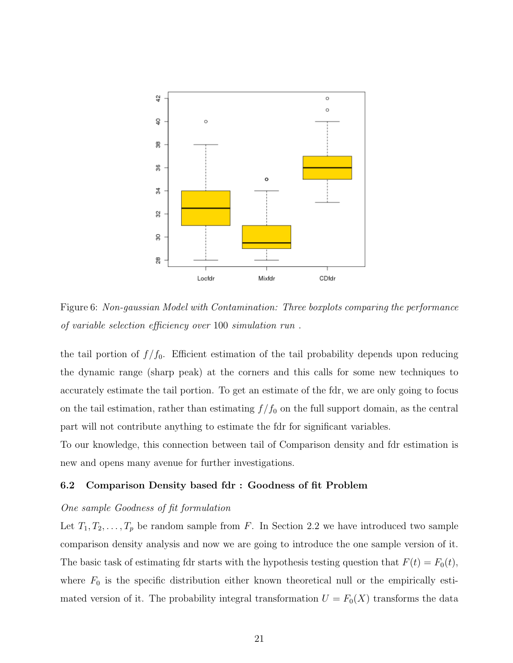

<span id="page-20-0"></span>Figure 6: Non-gaussian Model with Contamination: Three boxplots comparing the performance of variable selection efficiency over 100 simulation run .

the tail portion of  $f/f_0$ . Efficient estimation of the tail probability depends upon reducing the dynamic range (sharp peak) at the corners and this calls for some new techniques to accurately estimate the tail portion. To get an estimate of the fdr, we are only going to focus on the tail estimation, rather than estimating  $f/f_0$  on the full support domain, as the central part will not contribute anything to estimate the fdr for significant variables.

To our knowledge, this connection between tail of Comparison density and fdr estimation is new and opens many avenue for further investigations.

### <span id="page-20-1"></span>6.2 Comparison Density based fdr : Goodness of fit Problem

### One sample Goodness of fit formulation

Let  $T_1, T_2, \ldots, T_p$  be random sample from F. In Section 2.2 we have introduced two sample comparison density analysis and now we are going to introduce the one sample version of it. The basic task of estimating fdr starts with the hypothesis testing question that  $F(t) = F_0(t)$ , where  $F_0$  is the specific distribution either known theoretical null or the empirically estimated version of it. The probability integral transformation  $U = F_0(X)$  transforms the data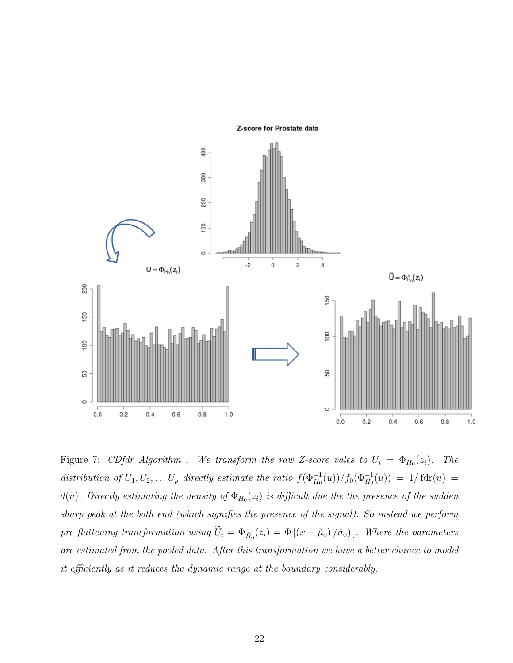

<span id="page-21-0"></span>Figure 7: CDfdr Algorithm : We transform the raw Z-score vales to  $U_i = \Phi_{H_0}(z_i)$ . The distribution of  $U_1, U_2, \ldots U_p$  directly estimate the ratio  $f(\Phi_{H_0}^{-1}(u))/f_0(\Phi_{H_0}^{-1}(u)) = 1/\text{fdr}(u) =$  $d(u)$ . Directly estimating the density of  $\Phi_{H_0}(z_i)$  is difficult due the the presence of the sudden sharp peak at the both end (which signifies the presence of the signal). So instead we perform pre-flattening transformation using  $U_i = \Phi_{\hat{H}_0}(z_i) = \Phi[(x - \hat{\mu}_0)/\hat{\sigma}_0]$ . Where the parameters are estimated from the pooled data. After this transformation we have a better chance to model it efficiently as it reduces the dynamic range at the boundary considerably.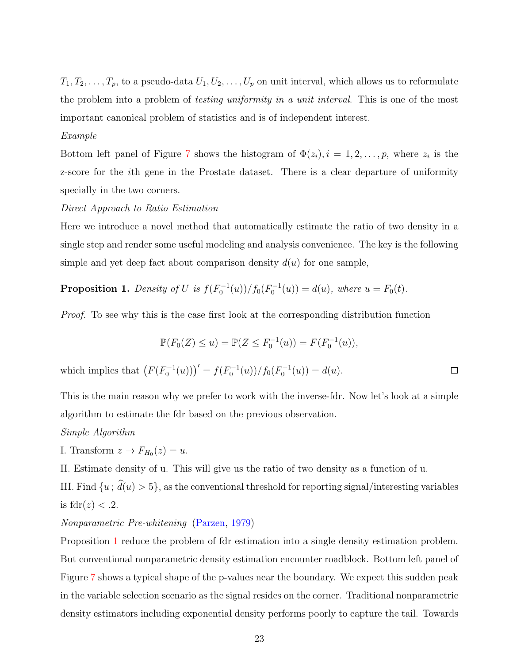$T_1, T_2, \ldots, T_p$ , to a pseudo-data  $U_1, U_2, \ldots, U_p$  on unit interval, which allows us to reformulate the problem into a problem of *testing uniformity in a unit interval*. This is one of the most important canonical problem of statistics and is of independent interest.

### Example

Bottom left panel of Figure [7](#page-21-0) shows the histogram of  $\Phi(z_i)$ ,  $i = 1, 2, \ldots, p$ , where  $z_i$  is the z-score for the ith gene in the Prostate dataset. There is a clear departure of uniformity specially in the two corners.

## Direct Approach to Ratio Estimation

Here we introduce a novel method that automatically estimate the ratio of two density in a single step and render some useful modeling and analysis convenience. The key is the following simple and yet deep fact about comparison density  $d(u)$  for one sample,

<span id="page-22-0"></span>**Proposition 1.** Density of U is  $f(F_0^{-1}(u))/f_0(F_0^{-1}(u)) = d(u)$ , where  $u = F_0(t)$ .

Proof. To see why this is the case first look at the corresponding distribution function

$$
\mathbb{P}(F_0(Z) \le u) = \mathbb{P}(Z \le F_0^{-1}(u)) = F(F_0^{-1}(u)),
$$

which implies that  $(F(F_0^{-1}(u)))' = f(F_0^{-1}(u))/f_0(F_0^{-1}(u)) = d(u)$ .  $\Box$ 

This is the main reason why we prefer to work with the inverse-fdr. Now let's look at a simple algorithm to estimate the fdr based on the previous observation.

### Simple Algorithm

I. Transform  $z \to F_{H_0}(z) = u$ .

II. Estimate density of u. This will give us the ratio of two density as a function of u. III. Find  $\{u, \hat{d}(u) > 5\}$ , as the conventional threshold for reporting signal/interesting variables

is 
$$
fdr(z) < 0.2
$$
.

### Nonparametric Pre-whitening [\(Parzen,](#page-26-0) [1979\)](#page-26-0)

Proposition [1](#page-22-0) reduce the problem of fdr estimation into a single density estimation problem. But conventional nonparametric density estimation encounter roadblock. Bottom left panel of Figure [7](#page-21-0) shows a typical shape of the p-values near the boundary. We expect this sudden peak in the variable selection scenario as the signal resides on the corner. Traditional nonparametric density estimators including exponential density performs poorly to capture the tail. Towards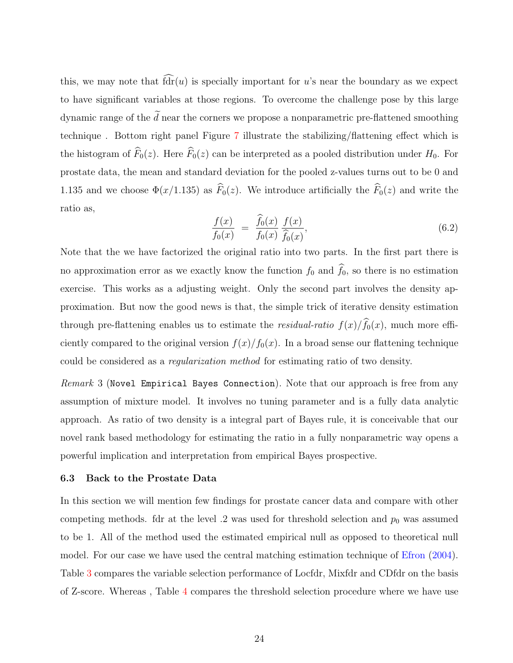this, we may note that  $\widehat{fdr}(u)$  is specially important for u's near the boundary as we expect to have significant variables at those regions. To overcome the challenge pose by this large dynamic range of the  $\tilde{d}$  near the corners we propose a nonparametric pre-flattened smoothing technique . Bottom right panel Figure [7](#page-21-0) illustrate the stabilizing/flattening effect which is the histogram of  $\widehat{F}_0(z)$ . Here  $\widehat{F}_0(z)$  can be interpreted as a pooled distribution under  $H_0$ . For prostate data, the mean and standard deviation for the pooled z-values turns out to be 0 and 1.135 and we choose  $\Phi(x/1.135)$  as  $\widehat{F}_0(z)$ . We introduce artificially the  $\widehat{F}_0(z)$  and write the ratio as,

$$
\frac{f(x)}{f_0(x)} = \frac{\hat{f}_0(x)}{f_0(x)} \frac{f(x)}{\hat{f}_0(x)},
$$
\n(6.2)

Note that the we have factorized the original ratio into two parts. In the first part there is no approximation error as we exactly know the function  $f_0$  and  $\widehat{f}_0$ , so there is no estimation exercise. This works as a adjusting weight. Only the second part involves the density approximation. But now the good news is that, the simple trick of iterative density estimation through pre-flattening enables us to estimate the *residual-ratio*  $f(x)/\widehat{f}_0(x)$ , much more efficiently compared to the original version  $f(x)/f_0(x)$ . In a broad sense our flattening technique could be considered as a regularization method for estimating ratio of two density.

Remark 3 (Novel Empirical Bayes Connection). Note that our approach is free from any assumption of mixture model. It involves no tuning parameter and is a fully data analytic approach. As ratio of two density is a integral part of Bayes rule, it is conceivable that our novel rank based methodology for estimating the ratio in a fully nonparametric way opens a powerful implication and interpretation from empirical Bayes prospective.

### 6.3 Back to the Prostate Data

In this section we will mention few findings for prostate cancer data and compare with other competing methods. fdr at the level  $.2$  was used for threshold selection and  $p_0$  was assumed to be 1. All of the method used the estimated empirical null as opposed to theoretical null model. For our case we have used the central matching estimation technique of [Efron](#page-25-4) [\(2004\)](#page-25-4). Table [3](#page-24-0) compares the variable selection performance of Locfdr, Mixfdr and CDfdr on the basis of Z-score. Whereas , Table [4](#page-24-1) compares the threshold selection procedure where we have use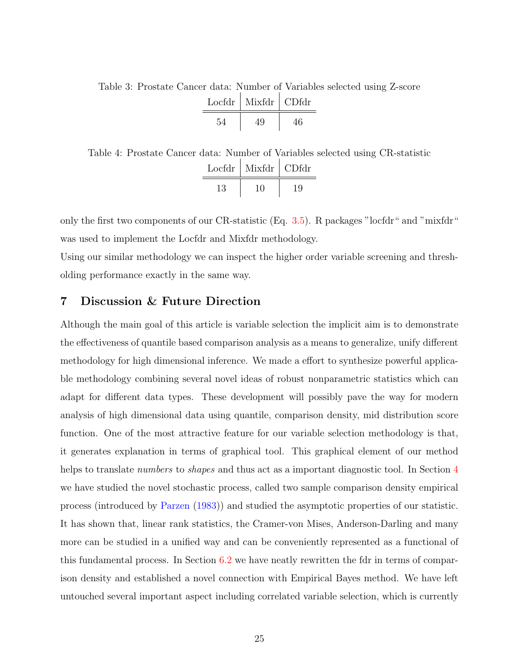<span id="page-24-0"></span>Table 3: Prostate Cancer data: Number of Variables selected using Z-score

| $Loefdr$   Mixfdr | CDfdr |
|-------------------|-------|
|                   |       |

<span id="page-24-1"></span>Table 4: Prostate Cancer data: Number of Variables selected using CR-statistic Locfdr | Mixfdr | CDfdr 13 10 19

only the first two components of our CR-statistic (Eq. [3.5\)](#page-13-1). R packages "locfdr" and "mixfdr" was used to implement the Locfdr and Mixfdr methodology.

Using our similar methodology we can inspect the higher order variable screening and thresholding performance exactly in the same way.

## 7 Discussion & Future Direction

Although the main goal of this article is variable selection the implicit aim is to demonstrate the effectiveness of quantile based comparison analysis as a means to generalize, unify different methodology for high dimensional inference. We made a effort to synthesize powerful applicable methodology combining several novel ideas of robust nonparametric statistics which can adapt for different data types. These development will possibly pave the way for modern analysis of high dimensional data using quantile, comparison density, mid distribution score function. One of the most attractive feature for our variable selection methodology is that, it generates explanation in terms of graphical tool. This graphical element of our method helps to translate *numbers* to *shapes* and thus act as a important diagnostic tool. In Section [4](#page-15-0) we have studied the novel stochastic process, called two sample comparison density empirical process (introduced by [Parzen](#page-26-2) [\(1983\)](#page-26-2)) and studied the asymptotic properties of our statistic. It has shown that, linear rank statistics, the Cramer-von Mises, Anderson-Darling and many more can be studied in a unified way and can be conveniently represented as a functional of this fundamental process. In Section [6.2](#page-20-1) we have neatly rewritten the fdr in terms of comparison density and established a novel connection with Empirical Bayes method. We have left untouched several important aspect including correlated variable selection, which is currently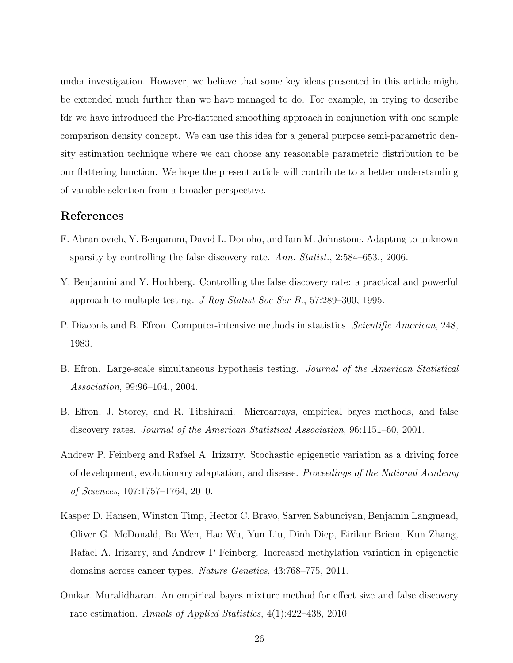under investigation. However, we believe that some key ideas presented in this article might be extended much further than we have managed to do. For example, in trying to describe fdr we have introduced the Pre-flattened smoothing approach in conjunction with one sample comparison density concept. We can use this idea for a general purpose semi-parametric density estimation technique where we can choose any reasonable parametric distribution to be our flattering function. We hope the present article will contribute to a better understanding of variable selection from a broader perspective.

## References

- <span id="page-25-7"></span>F. Abramovich, Y. Benjamini, David L. Donoho, and Iain M. Johnstone. Adapting to unknown sparsity by controlling the false discovery rate. Ann. Statist., 2:584–653., 2006.
- <span id="page-25-3"></span>Y. Benjamini and Y. Hochberg. Controlling the false discovery rate: a practical and powerful approach to multiple testing. J Roy Statist Soc Ser B., 57:289–300, 1995.
- <span id="page-25-0"></span>P. Diaconis and B. Efron. Computer-intensive methods in statistics. *Scientific American*, 248, 1983.
- <span id="page-25-4"></span>B. Efron. Large-scale simultaneous hypothesis testing. Journal of the American Statistical Association, 99:96–104., 2004.
- <span id="page-25-6"></span>B. Efron, J. Storey, and R. Tibshirani. Microarrays, empirical bayes methods, and false discovery rates. Journal of the American Statistical Association, 96:1151–60, 2001.
- <span id="page-25-1"></span>Andrew P. Feinberg and Rafael A. Irizarry. Stochastic epigenetic variation as a driving force of development, evolutionary adaptation, and disease. Proceedings of the National Academy of Sciences, 107:1757–1764, 2010.
- <span id="page-25-2"></span>Kasper D. Hansen, Winston Timp, Hector C. Bravo, Sarven Sabunciyan, Benjamin Langmead, Oliver G. McDonald, Bo Wen, Hao Wu, Yun Liu, Dinh Diep, Eirikur Briem, Kun Zhang, Rafael A. Irizarry, and Andrew P Feinberg. Increased methylation variation in epigenetic domains across cancer types. Nature Genetics, 43:768–775, 2011.
- <span id="page-25-5"></span>Omkar. Muralidharan. An empirical bayes mixture method for effect size and false discovery rate estimation. Annals of Applied Statistics, 4(1):422–438, 2010.